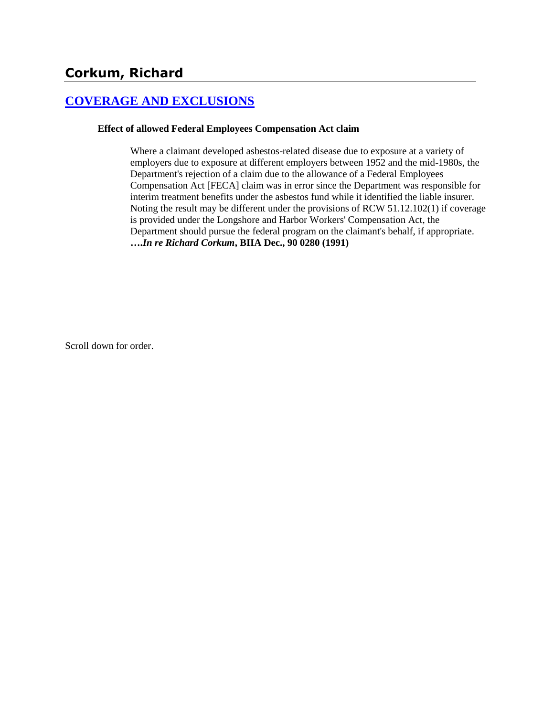## **[COVERAGE AND EXCLUSIONS](http://www.biia.wa.gov/SDSubjectIndex.html#COVERAGE_AND_EXCLUSIONS)**

#### **Effect of allowed Federal Employees Compensation Act claim**

Where a claimant developed asbestos-related disease due to exposure at a variety of employers due to exposure at different employers between 1952 and the mid-1980s, the Department's rejection of a claim due to the allowance of a Federal Employees Compensation Act [FECA] claim was in error since the Department was responsible for interim treatment benefits under the asbestos fund while it identified the liable insurer. Noting the result may be different under the provisions of RCW 51.12.102(1) if coverage is provided under the Longshore and Harbor Workers' Compensation Act, the Department should pursue the federal program on the claimant's behalf, if appropriate. **….***In re Richard Corkum***, BIIA Dec., 90 0280 (1991)** 

Scroll down for order.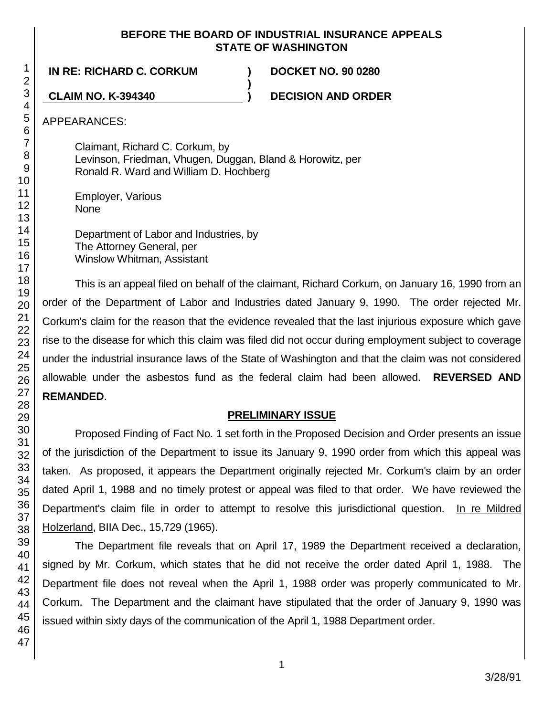#### **BEFORE THE BOARD OF INDUSTRIAL INSURANCE APPEALS STATE OF WASHINGTON**

**)**

**IN RE: RICHARD C. CORKUM ) DOCKET NO. 90 0280**

**CLAIM NO. K-394340 ) DECISION AND ORDER**

APPEARANCES:

Claimant, Richard C. Corkum, by Levinson, Friedman, Vhugen, Duggan, Bland & Horowitz, per Ronald R. Ward and William D. Hochberg

Employer, Various None

Department of Labor and Industries, by The Attorney General, per Winslow Whitman, Assistant

This is an appeal filed on behalf of the claimant, Richard Corkum, on January 16, 1990 from an order of the Department of Labor and Industries dated January 9, 1990. The order rejected Mr. Corkum's claim for the reason that the evidence revealed that the last injurious exposure which gave rise to the disease for which this claim was filed did not occur during employment subject to coverage under the industrial insurance laws of the State of Washington and that the claim was not considered allowable under the asbestos fund as the federal claim had been allowed. **REVERSED AND REMANDED**.

## **PRELIMINARY ISSUE**

Proposed Finding of Fact No. 1 set forth in the Proposed Decision and Order presents an issue of the jurisdiction of the Department to issue its January 9, 1990 order from which this appeal was taken. As proposed, it appears the Department originally rejected Mr. Corkum's claim by an order dated April 1, 1988 and no timely protest or appeal was filed to that order. We have reviewed the Department's claim file in order to attempt to resolve this jurisdictional question. In re Mildred Holzerland, BIIA Dec., 15,729 (1965).

The Department file reveals that on April 17, 1989 the Department received a declaration, signed by Mr. Corkum, which states that he did not receive the order dated April 1, 1988. The Department file does not reveal when the April 1, 1988 order was properly communicated to Mr. Corkum. The Department and the claimant have stipulated that the order of January 9, 1990 was issued within sixty days of the communication of the April 1, 1988 Department order.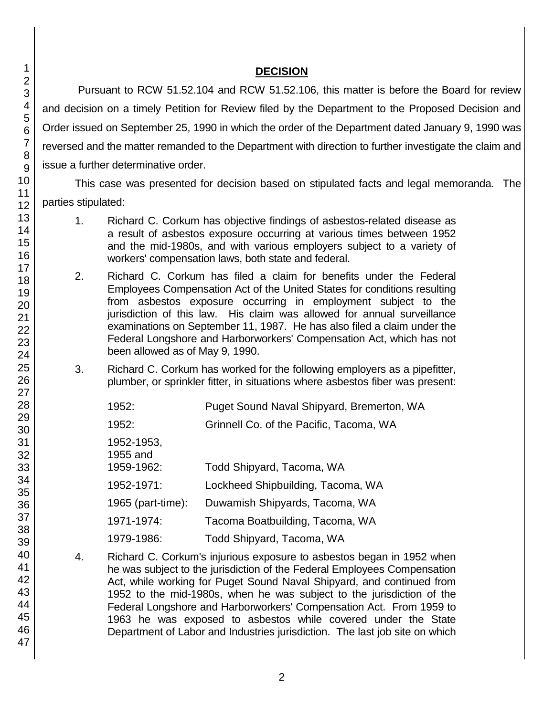## **DECISION**

Pursuant to RCW 51.52.104 and RCW 51.52.106, this matter is before the Board for review and decision on a timely Petition for Review filed by the Department to the Proposed Decision and Order issued on September 25, 1990 in which the order of the Department dated January 9, 1990 was reversed and the matter remanded to the Department with direction to further investigate the claim and issue a further determinative order.

This case was presented for decision based on stipulated facts and legal memoranda. The parties stipulated:

- 1. Richard C. Corkum has objective findings of asbestos-related disease as a result of asbestos exposure occurring at various times between 1952 and the mid-1980s, and with various employers subject to a variety of workers' compensation laws, both state and federal.
- 2. Richard C. Corkum has filed a claim for benefits under the Federal Employees Compensation Act of the United States for conditions resulting from asbestos exposure occurring in employment subject to the jurisdiction of this law. His claim was allowed for annual surveillance examinations on September 11, 1987. He has also filed a claim under the Federal Longshore and Harborworkers' Compensation Act, which has not been allowed as of May 9, 1990.
- 3. 3. Richard C. Corkum has worked for the following employers as a pipefitter, plumber, or sprinkler fitter, in situations where asbestos fiber was present:
	- 1952: Puget Sound Naval Shipyard, Bremerton, WA 1952: Grinnell Co. of the Pacific, Tacoma, WA 1952-1953, 1955 and 1959-1962: Todd Shipyard, Tacoma, WA 1952-1971: Lockheed Shipbuilding, Tacoma, WA 1965 (part-time): Duwamish Shipyards, Tacoma, WA 1971-1974: Tacoma Boatbuilding, Tacoma, WA 1979-1986: Todd Shipyard, Tacoma, WA
- 4. Richard C. Corkum's injurious exposure to asbestos began in 1952 when he was subject to the jurisdiction of the Federal Employees Compensation Act, while working for Puget Sound Naval Shipyard, and continued from 1952 to the mid-1980s, when he was subject to the jurisdiction of the Federal Longshore and Harborworkers' Compensation Act. From 1959 to 1963 he was exposed to asbestos while covered under the State Department of Labor and Industries jurisdiction. The last job site on which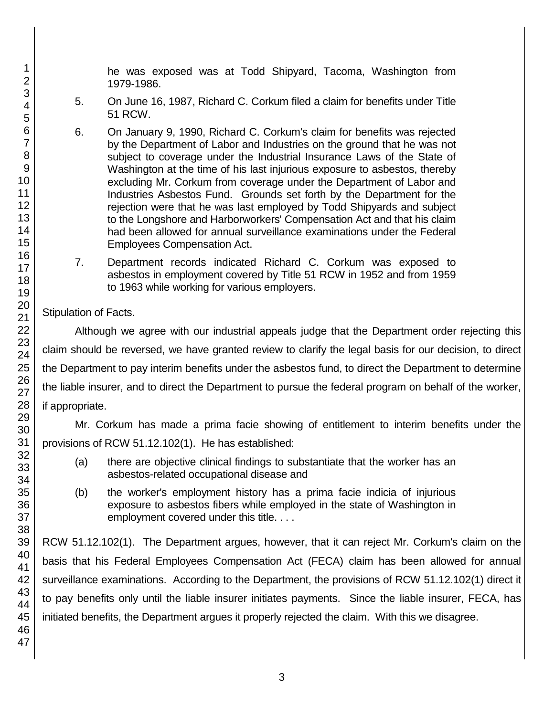he was exposed was at Todd Shipyard, Tacoma, Washington from 1979-1986.

- 5. On June 16, 1987, Richard C. Corkum filed a claim for benefits under Title 51 RCW.
- 6. On January 9, 1990, Richard C. Corkum's claim for benefits was rejected by the Department of Labor and Industries on the ground that he was not subject to coverage under the Industrial Insurance Laws of the State of Washington at the time of his last injurious exposure to asbestos, thereby excluding Mr. Corkum from coverage under the Department of Labor and Industries Asbestos Fund. Grounds set forth by the Department for the rejection were that he was last employed by Todd Shipyards and subject to the Longshore and Harborworkers' Compensation Act and that his claim had been allowed for annual surveillance examinations under the Federal Employees Compensation Act.
- 7. Department records indicated Richard C. Corkum was exposed to asbestos in employment covered by Title 51 RCW in 1952 and from 1959 to 1963 while working for various employers.

# Stipulation of Facts.

Although we agree with our industrial appeals judge that the Department order rejecting this claim should be reversed, we have granted review to clarify the legal basis for our decision, to direct the Department to pay interim benefits under the asbestos fund, to direct the Department to determine the liable insurer, and to direct the Department to pursue the federal program on behalf of the worker, if appropriate.

Mr. Corkum has made a prima facie showing of entitlement to interim benefits under the provisions of RCW 51.12.102(1). He has established:

- (a) there are objective clinical findings to substantiate that the worker has an asbestos-related occupational disease and
- (b) the worker's employment history has a prima facie indicia of injurious exposure to asbestos fibers while employed in the state of Washington in employment covered under this title. . . .

RCW 51.12.102(1). The Department argues, however, that it can reject Mr. Corkum's claim on the basis that his Federal Employees Compensation Act (FECA) claim has been allowed for annual surveillance examinations. According to the Department, the provisions of RCW 51.12.102(1) direct it to pay benefits only until the liable insurer initiates payments. Since the liable insurer, FECA, has initiated benefits, the Department argues it properly rejected the claim. With this we disagree.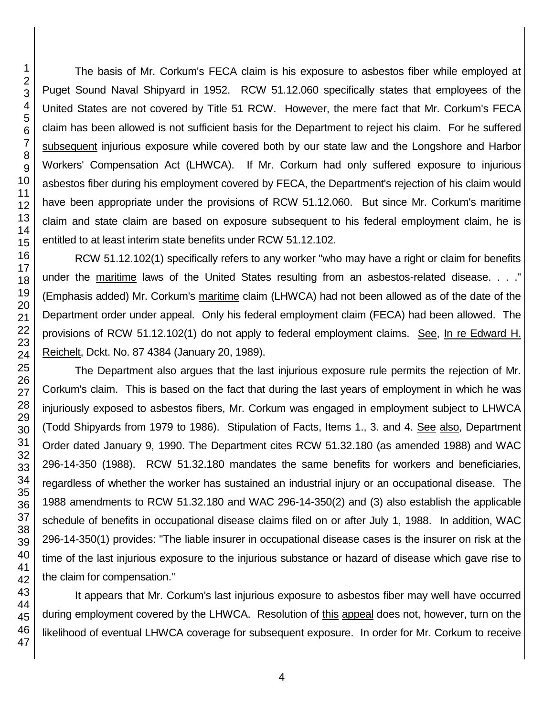The basis of Mr. Corkum's FECA claim is his exposure to asbestos fiber while employed at Puget Sound Naval Shipyard in 1952. RCW 51.12.060 specifically states that employees of the United States are not covered by Title 51 RCW. However, the mere fact that Mr. Corkum's FECA claim has been allowed is not sufficient basis for the Department to reject his claim. For he suffered subsequent injurious exposure while covered both by our state law and the Longshore and Harbor Workers' Compensation Act (LHWCA). If Mr. Corkum had only suffered exposure to injurious asbestos fiber during his employment covered by FECA, the Department's rejection of his claim would have been appropriate under the provisions of RCW 51.12.060. But since Mr. Corkum's maritime claim and state claim are based on exposure subsequent to his federal employment claim, he is entitled to at least interim state benefits under RCW 51.12.102.

RCW 51.12.102(1) specifically refers to any worker "who may have a right or claim for benefits under the maritime laws of the United States resulting from an asbestos-related disease. . . ." (Emphasis added) Mr. Corkum's maritime claim (LHWCA) had not been allowed as of the date of the Department order under appeal. Only his federal employment claim (FECA) had been allowed. The provisions of RCW 51.12.102(1) do not apply to federal employment claims. See, In re Edward H. Reichelt, Dckt. No. 87 4384 (January 20, 1989).

The Department also argues that the last injurious exposure rule permits the rejection of Mr. Corkum's claim. This is based on the fact that during the last years of employment in which he was injuriously exposed to asbestos fibers, Mr. Corkum was engaged in employment subject to LHWCA (Todd Shipyards from 1979 to 1986). Stipulation of Facts, Items 1., 3. and 4. See also, Department Order dated January 9, 1990. The Department cites RCW 51.32.180 (as amended 1988) and WAC 296-14-350 (1988). RCW 51.32.180 mandates the same benefits for workers and beneficiaries, regardless of whether the worker has sustained an industrial injury or an occupational disease. The 1988 amendments to RCW 51.32.180 and WAC 296-14-350(2) and (3) also establish the applicable schedule of benefits in occupational disease claims filed on or after July 1, 1988. In addition, WAC 296-14-350(1) provides: "The liable insurer in occupational disease cases is the insurer on risk at the time of the last injurious exposure to the injurious substance or hazard of disease which gave rise to the claim for compensation."

It appears that Mr. Corkum's last injurious exposure to asbestos fiber may well have occurred during employment covered by the LHWCA. Resolution of this appeal does not, however, turn on the likelihood of eventual LHWCA coverage for subsequent exposure. In order for Mr. Corkum to receive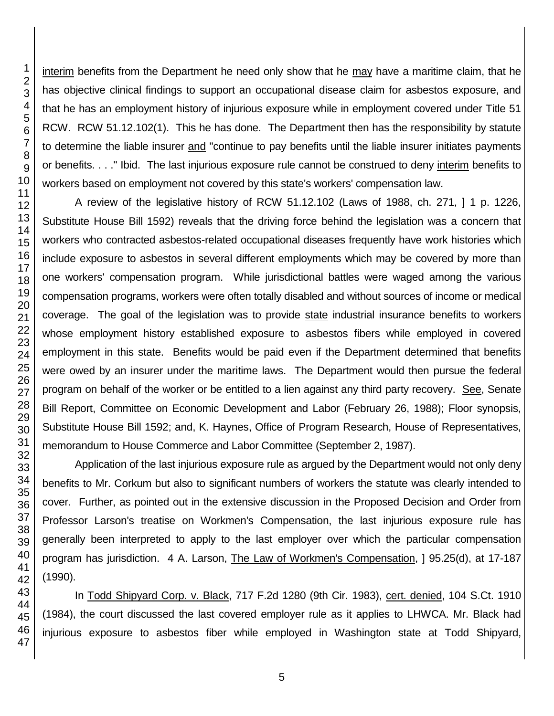interim benefits from the Department he need only show that he may have a maritime claim, that he has objective clinical findings to support an occupational disease claim for asbestos exposure, and that he has an employment history of injurious exposure while in employment covered under Title 51 RCW. RCW 51.12.102(1). This he has done. The Department then has the responsibility by statute to determine the liable insurer and "continue to pay benefits until the liable insurer initiates payments or benefits. . . ." Ibid. The last injurious exposure rule cannot be construed to deny interim benefits to workers based on employment not covered by this state's workers' compensation law.

A review of the legislative history of RCW 51.12.102 (Laws of 1988, ch. 271, ] 1 p. 1226, Substitute House Bill 1592) reveals that the driving force behind the legislation was a concern that workers who contracted asbestos-related occupational diseases frequently have work histories which include exposure to asbestos in several different employments which may be covered by more than one workers' compensation program. While jurisdictional battles were waged among the various compensation programs, workers were often totally disabled and without sources of income or medical coverage. The goal of the legislation was to provide state industrial insurance benefits to workers whose employment history established exposure to asbestos fibers while employed in covered employment in this state. Benefits would be paid even if the Department determined that benefits were owed by an insurer under the maritime laws. The Department would then pursue the federal program on behalf of the worker or be entitled to a lien against any third party recovery. See, Senate Bill Report, Committee on Economic Development and Labor (February 26, 1988); Floor synopsis, Substitute House Bill 1592; and, K. Haynes, Office of Program Research, House of Representatives, memorandum to House Commerce and Labor Committee (September 2, 1987).

Application of the last injurious exposure rule as argued by the Department would not only deny benefits to Mr. Corkum but also to significant numbers of workers the statute was clearly intended to cover. Further, as pointed out in the extensive discussion in the Proposed Decision and Order from Professor Larson's treatise on Workmen's Compensation, the last injurious exposure rule has generally been interpreted to apply to the last employer over which the particular compensation program has jurisdiction. 4 A. Larson, The Law of Workmen's Compensation, ] 95.25(d), at 17-187 (1990).

In Todd Shipyard Corp. v. Black, 717 F.2d 1280 (9th Cir. 1983), cert. denied, 104 S.Ct. 1910 (1984), the court discussed the last covered employer rule as it applies to LHWCA. Mr. Black had injurious exposure to asbestos fiber while employed in Washington state at Todd Shipyard,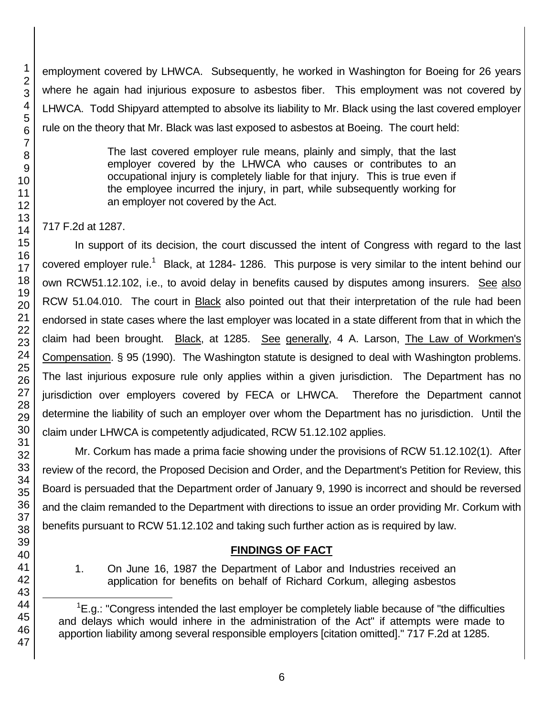employment covered by LHWCA. Subsequently, he worked in Washington for Boeing for 26 years where he again had injurious exposure to asbestos fiber. This employment was not covered by LHWCA. Todd Shipyard attempted to absolve its liability to Mr. Black using the last covered employer rule on the theory that Mr. Black was last exposed to asbestos at Boeing. The court held:

> The last covered employer rule means, plainly and simply, that the last employer covered by the LHWCA who causes or contributes to an occupational injury is completely liable for that injury. This is true even if the employee incurred the injury, in part, while subsequently working for an employer not covered by the Act.

## 717 F.2d at 1287.

In support of its decision, the court discussed the intent of Congress with regard to the last covered employer rule.<sup>1</sup> Black, at 1284-1286. This purpose is very similar to the intent behind our own RCW51.12.102, i.e., to avoid delay in benefits caused by disputes among insurers. See also RCW 51.04.010. The court in **Black** also pointed out that their interpretation of the rule had been endorsed in state cases where the last employer was located in a state different from that in which the claim had been brought. Black, at 1285. See generally, 4 A. Larson, The Law of Workmen's Compensation. § 95 (1990). The Washington statute is designed to deal with Washington problems. The last injurious exposure rule only applies within a given jurisdiction. The Department has no jurisdiction over employers covered by FECA or LHWCA. Therefore the Department cannot determine the liability of such an employer over whom the Department has no jurisdiction. Until the claim under LHWCA is competently adjudicated, RCW 51.12.102 applies.

Mr. Corkum has made a prima facie showing under the provisions of RCW 51.12.102(1). After review of the record, the Proposed Decision and Order, and the Department's Petition for Review, this Board is persuaded that the Department order of January 9, 1990 is incorrect and should be reversed and the claim remanded to the Department with directions to issue an order providing Mr. Corkum with benefits pursuant to RCW 51.12.102 and taking such further action as is required by law.

## **FINDINGS OF FACT**

1. On June 16, 1987 the Department of Labor and Industries received an application for benefits on behalf of Richard Corkum, alleging asbestos

l

 ${}^{1}E$ .g.: "Congress intended the last employer be completely liable because of "the difficulties and delays which would inhere in the administration of the Act" if attempts were made to apportion liability among several responsible employers [citation omitted]." 717 F.2d at 1285.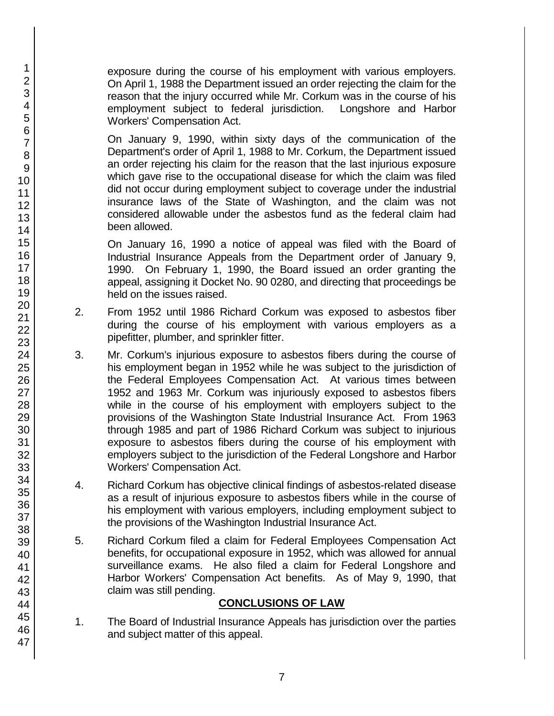exposure during the course of his employment with various employers. On April 1, 1988 the Department issued an order rejecting the claim for the reason that the injury occurred while Mr. Corkum was in the course of his employment subject to federal jurisdiction. Longshore and Harbor Workers' Compensation Act.

On January 9, 1990, within sixty days of the communication of the Department's order of April 1, 1988 to Mr. Corkum, the Department issued an order rejecting his claim for the reason that the last injurious exposure which gave rise to the occupational disease for which the claim was filed did not occur during employment subject to coverage under the industrial insurance laws of the State of Washington, and the claim was not considered allowable under the asbestos fund as the federal claim had been allowed.

On January 16, 1990 a notice of appeal was filed with the Board of Industrial Insurance Appeals from the Department order of January 9, 1990. On February 1, 1990, the Board issued an order granting the appeal, assigning it Docket No. 90 0280, and directing that proceedings be held on the issues raised.

- 2. From 1952 until 1986 Richard Corkum was exposed to asbestos fiber during the course of his employment with various employers as a pipefitter, plumber, and sprinkler fitter.
- 3. Mr. Corkum's injurious exposure to asbestos fibers during the course of his employment began in 1952 while he was subject to the jurisdiction of the Federal Employees Compensation Act. At various times between 1952 and 1963 Mr. Corkum was injuriously exposed to asbestos fibers while in the course of his employment with employers subject to the provisions of the Washington State Industrial Insurance Act. From 1963 through 1985 and part of 1986 Richard Corkum was subject to injurious exposure to asbestos fibers during the course of his employment with employers subject to the jurisdiction of the Federal Longshore and Harbor Workers' Compensation Act.
- 4. Richard Corkum has objective clinical findings of asbestos-related disease as a result of injurious exposure to asbestos fibers while in the course of his employment with various employers, including employment subject to the provisions of the Washington Industrial Insurance Act.
- 5. Richard Corkum filed a claim for Federal Employees Compensation Act benefits, for occupational exposure in 1952, which was allowed for annual surveillance exams. He also filed a claim for Federal Longshore and Harbor Workers' Compensation Act benefits. As of May 9, 1990, that claim was still pending.

## **CONCLUSIONS OF LAW**

1. The Board of Industrial Insurance Appeals has jurisdiction over the parties and subject matter of this appeal.